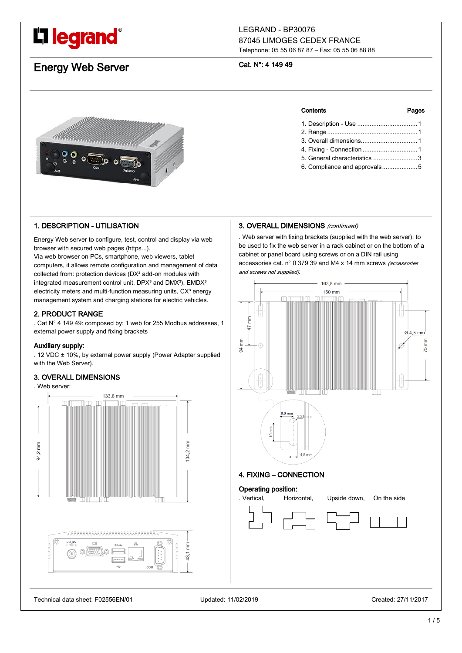# L'I legrand<sup>®</sup>

# LEGRAND - BP30076 87045 LIMOGES CEDEX FRANCE Telephone: 05 55 06 87 87 – Fax: 05 55 06 88 88

# Energy Web Server

# Cat. N°: 4 149 49



# 1. DESCRIPTION - UTILISATION

Energy Web server to configure, test, control and display via web browser with secured web pages (https...).

Via web browser on PCs, smartphone, web viewers, tablet computers, it allows remote configuration and management of data collected from: protection devices (DX<sup>3</sup> add-on modules with integrated measurement control unit,  $DPX<sup>3</sup>$  and  $DMX<sup>3</sup>$ ),  $EMDX<sup>3</sup>$ electricity meters and multi-function measuring units, CX<sup>3</sup> energy management system and charging stations for electric vehicles.

# 2. PRODUCT RANGE

. Cat N° 4 149 49: composed by: 1 web for 255 Modbus addresses, 1 external power supply and fixing brackets

# Auxiliary supply:

. 12 VDC ± 10%, by external power supply (Power Adapter supplied with the Web Server).

# 3. OVERALL DIMENSIONS

. Web server:



# Contents Pages

| 5. General characteristics 3 |  |
|------------------------------|--|
| 6. Compliance and approvals5 |  |

# 3. OVERALL DIMENSIONS (continued)

. Web server with fixing brackets (supplied with the web server): to be used to fix the web server in a rack cabinet or on the bottom of a cabinet or panel board using screws or on a DIN rail using accessories cat. n° 0 379 39 and M4 x 14 mm screws (accessories and screws not supplied):



Technical data sheet: F02556EN/01 Updated: 11/02/2019 Created: 27/11/2017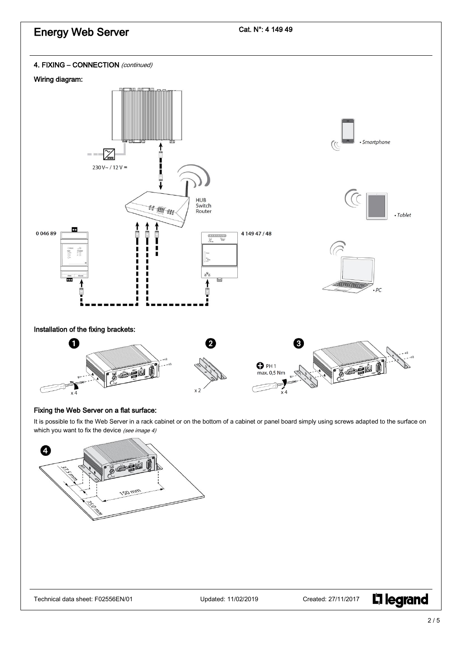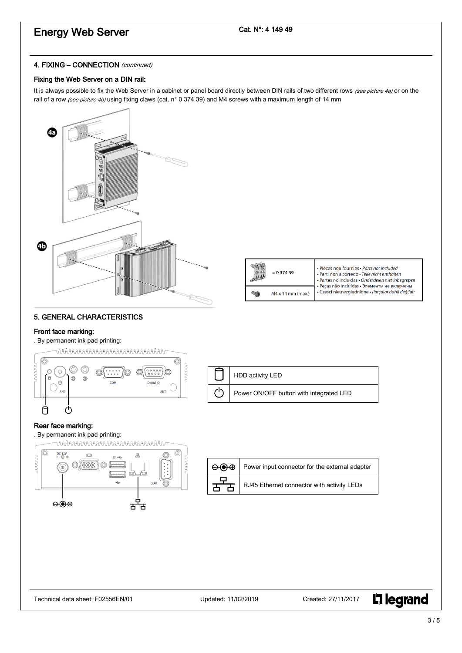# Energy Web Server

# Cat. N°: 4 149 49

# 4. FIXING - CONNECTION (continued)

# Fixing the Web Server on a DIN rail:

It is always possible to fix the Web Server in a cabinet or panel board directly between DIN rails of two different rows (see picture 4a) or on the rail of a row (see picture 4b) using fixing claws (cat. n° 0 374 39) and M4 screws with a maximum length of 14 mm



|  | $= 0.374.39$      | · Pièces non fournies · Parts not included<br>· Parti non a corredo · Teile nicht enthalten<br>· Partes no incluidas · Onderdelen niet inbegrepen<br>• Peças não incluídas • Элементы не включены |
|--|-------------------|---------------------------------------------------------------------------------------------------------------------------------------------------------------------------------------------------|
|  | M4 x 14 mm (max.) | · Części nieuwzględnione · Parçalar dahil değildir                                                                                                                                                |

# 5. GENERAL CHARACTERISTICS

# Front face marking:

. By permanent ink pad printing:



L<sub>1</sub> legrand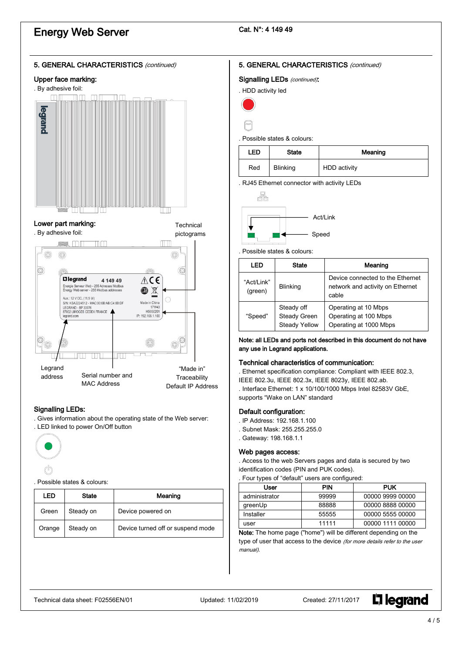# Energy Web Server

# Cat. N°: 4 149 49



# Upper face marking:



# Lower part marking:



### **Technical** pictograms



# Signalling LEDs:

. Gives information about the operating state of the Web server: . LED linked to power On/Off button



#### . Possible states & colours:

| LED    | <b>State</b> | Meaning                           |  |
|--------|--------------|-----------------------------------|--|
| Green  | Steady on    | Device powered on                 |  |
| Orange | Steady on    | Device turned off or suspend mode |  |

# 5. GENERAL CHARACTERISTICS (continued)

Signalling LEDs (continued).

| . HDD activity led |  |
|--------------------|--|
|                    |  |
|                    |  |

#### . Possible states & colours:

| LED | <b>State</b>    | Meaning      |  |
|-----|-----------------|--------------|--|
| Red | <b>Blinking</b> | HDD activity |  |

. RJ45 Ethernet connector with activity LEDs



#### . Possible states & colours:

| LED                                                           | <b>State</b>    | Meaning                                                                       |
|---------------------------------------------------------------|-----------------|-------------------------------------------------------------------------------|
| "Act/Link"<br>(green)                                         | <b>Blinking</b> | Device connected to the Ethernet<br>network and activity on Ethernet<br>cable |
| Steady off<br>Steady Green<br>"Speed"<br><b>Steady Yellow</b> |                 | Operating at 10 Mbps<br>Operating at 100 Mbps<br>Operating at 1000 Mbps       |

### Note: all LEDs and ports not described in this document do not have any use in Legrand applications.

# Technical characteristics of communication:

. Ethernet specification compliance: Compliant with IEEE 802.3, IEEE 802.3u, IEEE 802.3x, IEEE 8023y, IEEE 802.ab. . Interface Ethernet: 1 x 10/100/1000 Mbps Intel 82583V GbE, supports "Wake on LAN" standard

#### Default configuration:

- . IP Address: 192.168.1.100
- . Subnet Mask: 255.255.255.0
- . Gateway: 198.168.1.1

# Web pages access:

. Access to the web Servers pages and data is secured by two identification codes (PIN and PUK codes).

| . Four types of "default" users are configured: |  |  |  |
|-------------------------------------------------|--|--|--|
|-------------------------------------------------|--|--|--|

| User          | <b>PIN</b> | <b>PUK</b>       |
|---------------|------------|------------------|
| administrator | 99999      | 00000 9999 00000 |
| greenUp       | 88888      | 00000 8888 00000 |
| Installer     | 55555      | 00000 5555 00000 |
| user          | 11111      | 00000 1111 00000 |

Note: The home page ("home") will be different depending on the type of user that access to the device (for more details refer to the user manual).